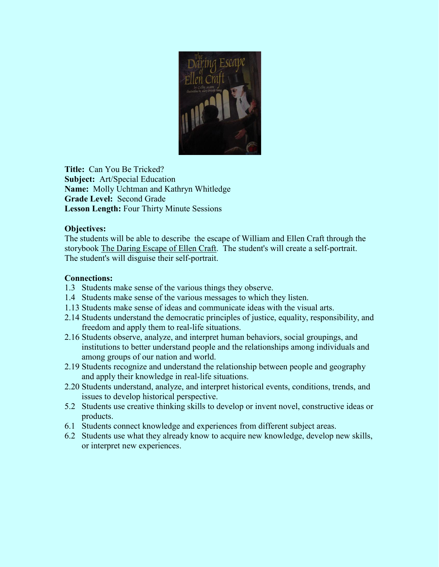

**Title:** Can You Be Tricked? **Subject:** Art/Special Education **Name:** Molly Uchtman and Kathryn Whitledge **Grade Level:** Second Grade **Lesson Length:** Four Thirty Minute Sessions

### **Objectives:**

The students will be able to describe the escape of William and Ellen Craft through the storybook The Daring Escape of Ellen Craft. The student's will create a self-portrait. The student's will disguise their self-portrait.

### **Connections:**

- 1.3 Students make sense of the various things they observe.
- 1.4 Students make sense of the various messages to which they listen.
- 1.13 Students make sense of ideas and communicate ideas with the visual arts.
- 2.14 Students understand the democratic principles of justice, equality, responsibility, and freedom and apply them to real-life situations.
- 2.16 Students observe, analyze, and interpret human behaviors, social groupings, and institutions to better understand people and the relationships among individuals and among groups of our nation and world.
- 2.19 Students recognize and understand the relationship between people and geography and apply their knowledge in real-life situations.
- 2.20 Students understand, analyze, and interpret historical events, conditions, trends, and issues to develop historical perspective.
- 5.2 Students use creative thinking skills to develop or invent novel, constructive ideas or products.
- 6.1 Students connect knowledge and experiences from different subject areas.
- 6.2 Students use what they already know to acquire new knowledge, develop new skills, or interpret new experiences.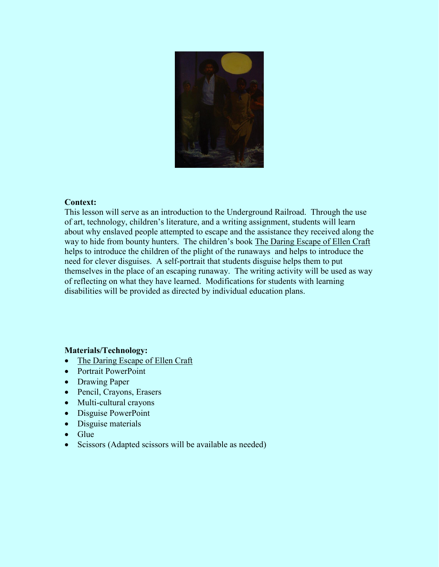

#### **Context:**

This lesson will serve as an introduction to the Underground Railroad. Through the use of art, technology, children's literature, and a writing assignment, students will learn about why enslaved people attempted to escape and the assistance they received along the way to hide from bounty hunters. The children's book The Daring Escape of Ellen Craft helps to introduce the children of the plight of the runaways and helps to introduce the need for clever disguises. A self-portrait that students disguise helps them to put themselves in the place of an escaping runaway. The writing activity will be used as way of reflecting on what they have learned. Modifications for students with learning disabilities will be provided as directed by individual education plans.

#### **Materials/Technology:**

- The Daring Escape of Ellen Craft
- Portrait PowerPoint
- Drawing Paper
- Pencil, Crayons, Erasers
- Multi-cultural crayons
- Disguise PowerPoint
- Disguise materials
- Glue
- Scissors (Adapted scissors will be available as needed)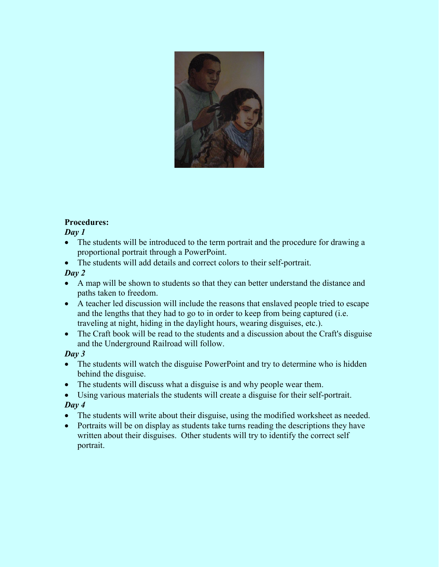

## **Procedures:**

*Day 1*

- The students will be introduced to the term portrait and the procedure for drawing a proportional portrait through a PowerPoint.
- The students will add details and correct colors to their self-portrait.

## *Day 2*

- A map will be shown to students so that they can better understand the distance and paths taken to freedom.
- A teacher led discussion will include the reasons that enslaved people tried to escape and the lengths that they had to go to in order to keep from being captured (i.e. traveling at night, hiding in the daylight hours, wearing disguises, etc.).
- The Craft book will be read to the students and a discussion about the Craft's disguise and the Underground Railroad will follow.

# *Day 3*

- The students will watch the disguise PowerPoint and try to determine who is hidden behind the disguise.
- The students will discuss what a disguise is and why people wear them.
- Using various materials the students will create a disguise for their self-portrait. *Day 4*
- The students will write about their disguise, using the modified worksheet as needed.
- Portraits will be on display as students take turns reading the descriptions they have written about their disguises. Other students will try to identify the correct self portrait.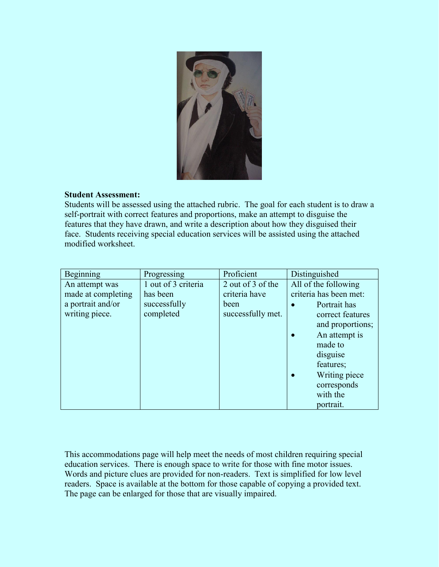

### **Student Assessment:**

Students will be assessed using the attached rubric. The goal for each student is to draw a self-portrait with correct features and proportions, make an attempt to disguise the features that they have drawn, and write a description about how they disguised their face. Students receiving special education services will be assisted using the attached modified worksheet.

| Beginning          | Progressing         | Proficient        | Distinguished              |
|--------------------|---------------------|-------------------|----------------------------|
| An attempt was     | 1 out of 3 criteria | 2 out of 3 of the | All of the following       |
| made at completing | has been            | criteria have     | criteria has been met:     |
| a portrait and/or  | successfully        | been              | Portrait has               |
| writing piece.     | completed           | successfully met. | correct features           |
|                    |                     |                   | and proportions;           |
|                    |                     |                   | An attempt is<br>$\bullet$ |
|                    |                     |                   | made to                    |
|                    |                     |                   | disguise                   |
|                    |                     |                   | features;                  |
|                    |                     |                   | Writing piece              |
|                    |                     |                   | corresponds                |
|                    |                     |                   | with the                   |
|                    |                     |                   | portrait.                  |

This accommodations page will help meet the needs of most children requiring special education services. There is enough space to write for those with fine motor issues. Words and picture clues are provided for non-readers. Text is simplified for low level readers. Space is available at the bottom for those capable of copying a provided text. The page can be enlarged for those that are visually impaired.